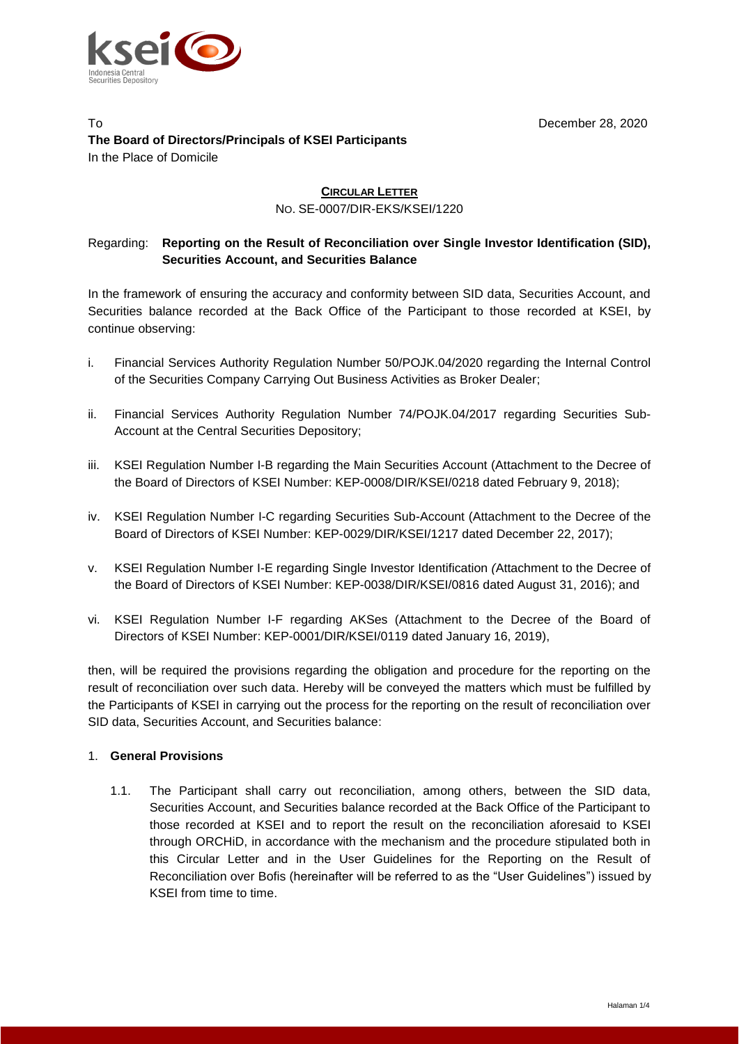

#### To December 28, 2020 **The Board of Directors/Principals of KSEI Participants** In the Place of Domicile

# **CIRCULAR LETTER**

NO. SE-0007/DIR-EKS/KSEI/1220

# Regarding: **Reporting on the Result of Reconciliation over Single Investor Identification (SID), Securities Account, and Securities Balance**

In the framework of ensuring the accuracy and conformity between SID data, Securities Account, and Securities balance recorded at the Back Office of the Participant to those recorded at KSEI, by continue observing:

- i. Financial Services Authority Regulation Number 50/POJK.04/2020 regarding the Internal Control of the Securities Company Carrying Out Business Activities as Broker Dealer;
- ii. Financial Services Authority Regulation Number 74/POJK.04/2017 regarding Securities Sub-Account at the Central Securities Depository;
- iii. KSEI Regulation Number I-B regarding the Main Securities Account (Attachment to the Decree of the Board of Directors of KSEI Number: [KEP-0008/DIR/KSEI/0218](https://www.ksei.co.id/files/Keputusan_Direksi_KSEI_Tentang_Perubahan_Peraturan_KSEI_Nomor_I-B_tentang_Rekening_Efek_Utama.pdf) dated February 9, 2018);
- iv. KSEI Regulation Number I-C regarding Securities Sub-Account (Attachment to the Decree of the Board of Directors of KSEI Number: KEP-0029/DIR/KSEI/1217 dated December 22, 2017);
- v. KSEI Regulation Number I-E regarding Single Investor Identification *(*Attachment to the Decree of the Board of Directors of KSEI Number: KEP-0038/DIR/KSEI/0816 dated August 31, 2016); and
- vi. KSEI Regulation Number I-F regarding AKSes (Attachment to the Decree of the Board of Directors of KSEI Number: KEP-0001/DIR/KSEI/0119 dated January 16, 2019),

then, will be required the provisions regarding the obligation and procedure for the reporting on the result of reconciliation over such data. Hereby will be conveyed the matters which must be fulfilled by the Participants of KSEI in carrying out the process for the reporting on the result of reconciliation over SID data, Securities Account, and Securities balance:

#### 1. **General Provisions**

1.1. The Participant shall carry out reconciliation, among others, between the SID data, Securities Account, and Securities balance recorded at the Back Office of the Participant to those recorded at KSEI and to report the result on the reconciliation aforesaid to KSEI through ORCHiD, in accordance with the mechanism and the procedure stipulated both in this Circular Letter and in the User Guidelines for the Reporting on the Result of Reconciliation over Bofis (hereinafter will be referred to as the "User Guidelines") issued by KSEI from time to time.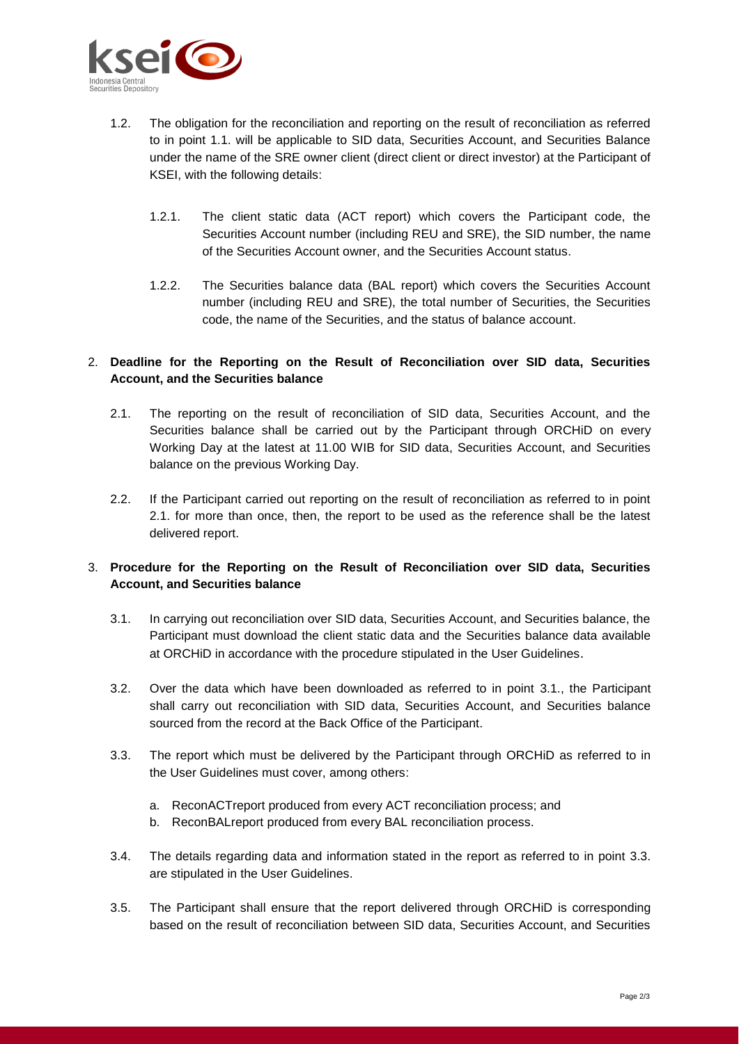

- 1.2. The obligation for the reconciliation and reporting on the result of reconciliation as referred to in point 1.1. will be applicable to SID data, Securities Account, and Securities Balance under the name of the SRE owner client (direct client or direct investor) at the Participant of KSEI, with the following details:
	- 1.2.1. The client static data (ACT report) which covers the Participant code, the Securities Account number (including REU and SRE), the SID number, the name of the Securities Account owner, and the Securities Account status.
	- 1.2.2. The Securities balance data (BAL report) which covers the Securities Account number (including REU and SRE), the total number of Securities, the Securities code, the name of the Securities, and the status of balance account.

## 2. **Deadline for the Reporting on the Result of Reconciliation over SID data, Securities Account, and the Securities balance**

- 2.1. The reporting on the result of reconciliation of SID data, Securities Account, and the Securities balance shall be carried out by the Participant through ORCHiD on every Working Day at the latest at 11.00 WIB for SID data, Securities Account, and Securities balance on the previous Working Day.
- 2.2. If the Participant carried out reporting on the result of reconciliation as referred to in point 2.1. for more than once, then, the report to be used as the reference shall be the latest delivered report.

## 3. **Procedure for the Reporting on the Result of Reconciliation over SID data, Securities Account, and Securities balance**

- 3.1. In carrying out reconciliation over SID data, Securities Account, and Securities balance, the Participant must download the client static data and the Securities balance data available at ORCHiD in accordance with the procedure stipulated in the User Guidelines.
- 3.2. Over the data which have been downloaded as referred to in point 3.1., the Participant shall carry out reconciliation with SID data, Securities Account, and Securities balance sourced from the record at the Back Office of the Participant.
- 3.3. The report which must be delivered by the Participant through ORCHiD as referred to in the User Guidelines must cover, among others:
	- a. ReconACTreport produced from every ACT reconciliation process; and
	- b. ReconBALreport produced from every BAL reconciliation process.
- 3.4. The details regarding data and information stated in the report as referred to in point 3.3. are stipulated in the User Guidelines.
- 3.5. The Participant shall ensure that the report delivered through ORCHiD is corresponding based on the result of reconciliation between SID data, Securities Account, and Securities